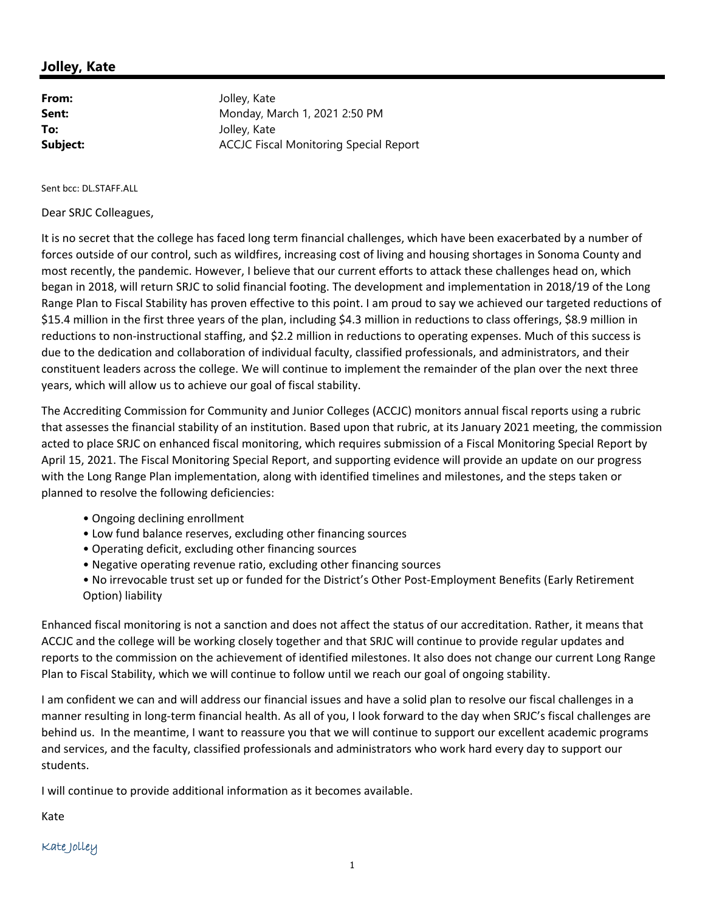## **Jolley, Kate**

| From:    | Jolley, Kate                                  |
|----------|-----------------------------------------------|
| Sent:    | Monday, March 1, 2021 2:50 PM                 |
| To:      | Jolley, Kate                                  |
| Subject: | <b>ACCJC Fiscal Monitoring Special Report</b> |

Sent bcc: DL.STAFF.ALL

Dear SRJC Colleagues,

It is no secret that the college has faced long term financial challenges, which have been exacerbated by a number of forces outside of our control, such as wildfires, increasing cost of living and housing shortages in Sonoma County and most recently, the pandemic. However, I believe that our current efforts to attack these challenges head on, which began in 2018, will return SRJC to solid financial footing. The development and implementation in 2018/19 of the Long Range Plan to Fiscal Stability has proven effective to this point. I am proud to say we achieved our targeted reductions of \$15.4 million in the first three years of the plan, including \$4.3 million in reductions to class offerings, \$8.9 million in reductions to non‐instructional staffing, and \$2.2 million in reductions to operating expenses. Much of this success is due to the dedication and collaboration of individual faculty, classified professionals, and administrators, and their constituent leaders across the college. We will continue to implement the remainder of the plan over the next three years, which will allow us to achieve our goal of fiscal stability.

The Accrediting Commission for Community and Junior Colleges (ACCJC) monitors annual fiscal reports using a rubric that assesses the financial stability of an institution. Based upon that rubric, at its January 2021 meeting, the commission acted to place SRJC on enhanced fiscal monitoring, which requires submission of a Fiscal Monitoring Special Report by April 15, 2021. The Fiscal Monitoring Special Report, and supporting evidence will provide an update on our progress with the Long Range Plan implementation, along with identified timelines and milestones, and the steps taken or planned to resolve the following deficiencies:

- Ongoing declining enrollment
- Low fund balance reserves, excluding other financing sources
- Operating deficit, excluding other financing sources
- Negative operating revenue ratio, excluding other financing sources
- No irrevocable trust set up or funded for the District's Other Post‐Employment Benefits (Early Retirement Option) liability

Enhanced fiscal monitoring is not a sanction and does not affect the status of our accreditation. Rather, it means that ACCJC and the college will be working closely together and that SRJC will continue to provide regular updates and reports to the commission on the achievement of identified milestones. It also does not change our current Long Range Plan to Fiscal Stability, which we will continue to follow until we reach our goal of ongoing stability.

I am confident we can and will address our financial issues and have a solid plan to resolve our fiscal challenges in a manner resulting in long‐term financial health. As all of you, I look forward to the day when SRJC's fiscal challenges are behind us. In the meantime, I want to reassure you that we will continue to support our excellent academic programs and services, and the faculty, classified professionals and administrators who work hard every day to support our students.

I will continue to provide additional information as it becomes available.

Kate

## Kate Jolley